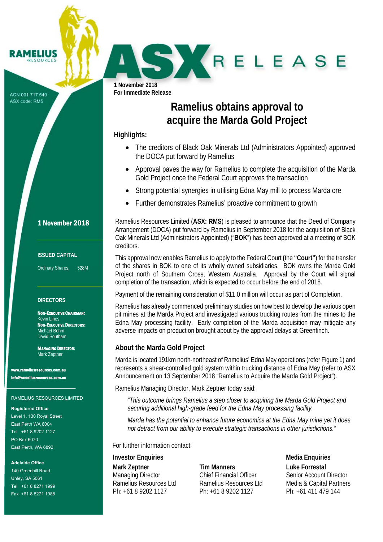ACN 001 717 540 ASX code: RMS

**IMELIUS PESOURCE** 

> **1 November 2018 For Immediate Release**

J

r

# **Ramelius obtains approval to acquire the Marda Gold Project**

RELEASE

## **Highlights:**

- The creditors of Black Oak Minerals Ltd (Administrators Appointed) approved the DOCA put forward by Ramelius
- Approval paves the way for Ramelius to complete the acquisition of the Marda Gold Project once the Federal Court approves the transaction
- Strong potential synergies in utilising Edna May mill to process Marda ore
- Further demonstrates Ramelius' proactive commitment to growth

Ramelius Resources Limited (**ASX: RMS**) is pleased to announce that the Deed of Company Arrangement (DOCA) put forward by Ramelius in September 2018 for the acquisition of Black Oak Minerals Ltd (Administrators Appointed) ("**BOK**") has been approved at a meeting of BOK creditors.

This approval now enables Ramelius to apply to the Federal Court **(**the **"Court"**) for the transfer of the shares in BOK to one of its wholly owned subsidiaries. BOK owns the Marda Gold Project north of Southern Cross, Western Australia. Approval by the Court will signal completion of the transaction, which is expected to occur before the end of 2018.

Payment of the remaining consideration of \$11.0 million will occur as part of Completion.

Ramelius has already commenced preliminary studies on how best to develop the various open pit mines at the Marda Project and investigated various trucking routes from the mines to the Edna May processing facility. Early completion of the Marda acquisition may mitigate any adverse impacts on production brought about by the approval delays at Greenfinch.

## **About the Marda Gold Project**

Marda is located 191km north-northeast of Ramelius' Edna May operations (refer Figure 1) and represents a shear-controlled gold system within trucking distance of Edna May (refer to ASX Announcement on 13 September 2018 "Ramelius to Acquire the Marda Gold Project").

Ramelius Managing Director, Mark Zeptner today said:

*"This outcome brings Ramelius a step closer to acquiring the Marda Gold Project and securing additional high-grade feed for the Edna May processing facility.* 

*Marda has the potential to enhance future economics at the Edna May mine yet it does not detract from our ability to execute strategic transactions in other jurisdictions."* 

For further information contact:

## **Investor Enquiries Media Enquiries** Media Enquiries

**Mark Zeptner**  Managing Director Ramelius Resources Ltd Ph: +61 8 9202 1127

**Tim Manners**  Chief Financial Officer Ramelius Resources Ltd Ph: +61 8 9202 1127

**Luke Forrestal** Senior Account Director Media & Capital Partners Ph: +61 411 479 144

## 1 November 2018

### **ISSUED CAPITAL**

Ordinary Shares: 528M

## **DIRECTORS**

NON-EXECUTIVE CHAIRMAN: Kevin Lines NON-EXECUTIVE DIRECTORS: Michael Bohm David Southam

MANAGING DIRECTOR: Mark Zeptner

www.<br>www.com.au info@rameliusresources.com.au

#### RAMELIUS RESOURCES LIMITED

#### **Registered Office**

Level 1, 130 Royal Street East Perth WA 6004 Tel +61 8 9202 1127 PO Box 6070 East Perth, WA 6892

### **Adelaide Office**

140 Greenhill Road Unley, SA 5061 Tel +61 8 8271 1999 Fax +61 8 8271 1988